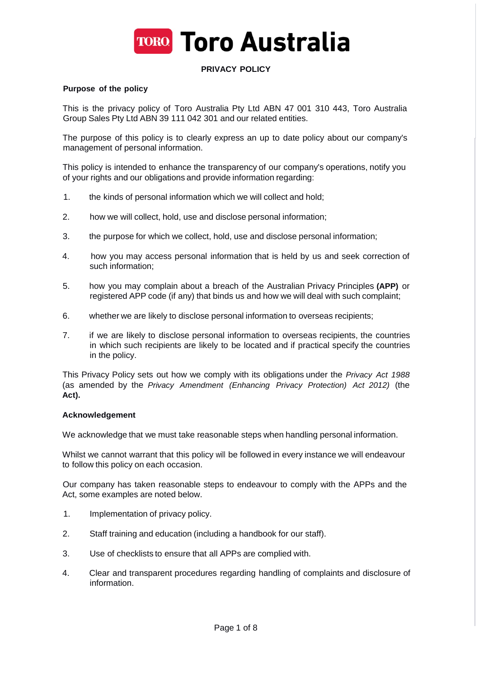

# **PRIVACY POLICY**

#### **Purpose of the policy**

This is the privacy policy of Toro Australia Pty Ltd ABN 47 001 310 443, Toro Australia Group Sales Pty Ltd ABN 39 111 042 301 and our related entities.

The purpose of this policy is to clearly express an up to date policy about our company's management of personal information.

This policy is intended to enhance the transparency of our company's operations, notify you of your rights and our obligations and provide information regarding:

- 1. the kinds of personal information which we will collect and hold;
- 2. how we will collect, hold, use and disclose personal information;
- 3. the purpose for which we collect, hold, use and disclose personal information;
- 4. how you may access personal information that is held by us and seek correction of such information;
- 5. how you may complain about a breach of the Australian Privacy Principles **(APP)** or registered APP code (if any) that binds us and how we will deal with such complaint;
- 6. whether we are likely to disclose personal information to overseas recipients;
- 7. if we are likely to disclose personal information to overseas recipients, the countries in which such recipients are likely to be located and if practical specify the countries in the policy.

This Privacy Policy sets out how we comply with its obligations under the *Privacy Act 1988*  (as amended by the *Privacy Amendment (Enhancing Privacy Protection) Act 2012)* (the **Act).**

#### **Acknowledgement**

We acknowledge that we must take reasonable steps when handling personal information.

Whilst we cannot warrant that this policy will be followed in every instance we will endeavour to follow this policy on each occasion.

Our company has taken reasonable steps to endeavour to comply with the APPs and the Act, some examples are noted below.

- 1. Implementation of privacy policy.
- 2. Staff training and education (including a handbook for our staff).
- 3. Use of checklists to ensure that all APPs are complied with.
- 4. Clear and transparent procedures regarding handling of complaints and disclosure of information.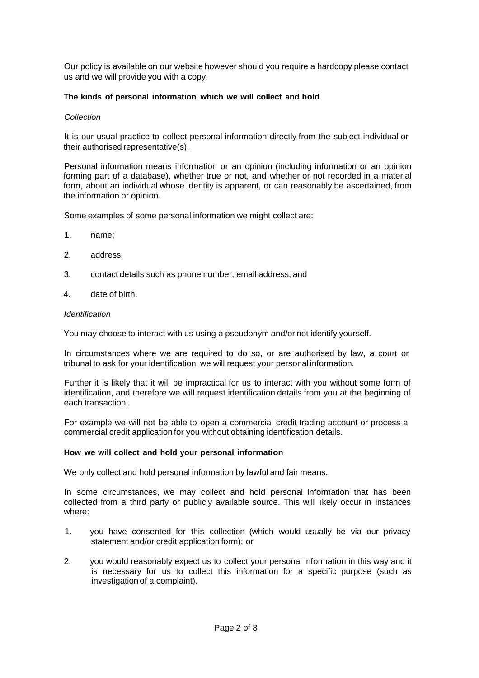Our policy is available on our website however should you require a hardcopy please contact us and we will provide you with a copy.

## **The kinds of personal information which we will collect and hold**

### *Collection*

It is our usual practice to collect personal information directly from the subject individual or their authorised representative(s).

Personal information means information or an opinion (including information or an opinion forming part of a database), whether true or not, and whether or not recorded in a material form, about an individual whose identity is apparent, or can reasonably be ascertained, from the information or opinion.

Some examples of some personal information we might collect are:

- 1. name;
- 2. address;
- 3. contact details such as phone number, email address; and
- 4. date of birth.

#### *Identification*

You may choose to interact with us using a pseudonym and/or not identify yourself.

In circumstances where we are required to do so, or are authorised by law, a court or tribunal to ask for your identification, we will request your personal information.

Further it is likely that it will be impractical for us to interact with you without some form of identification, and therefore we will request identification details from you at the beginning of each transaction.

For example we will not be able to open a commercial credit trading account or process a commercial credit application for you without obtaining identification details.

### **How we will collect and hold your personal information**

We only collect and hold personal information by lawful and fair means.

In some circumstances, we may collect and hold personal information that has been collected from a third party or publicly available source. This will likely occur in instances where:

- 1. you have consented for this collection (which would usually be via our privacy statement and/or credit application form); or
- 2. you would reasonably expect us to collect your personal information in this way and it is necessary for us to collect this information for a specific purpose (such as investigation of a complaint).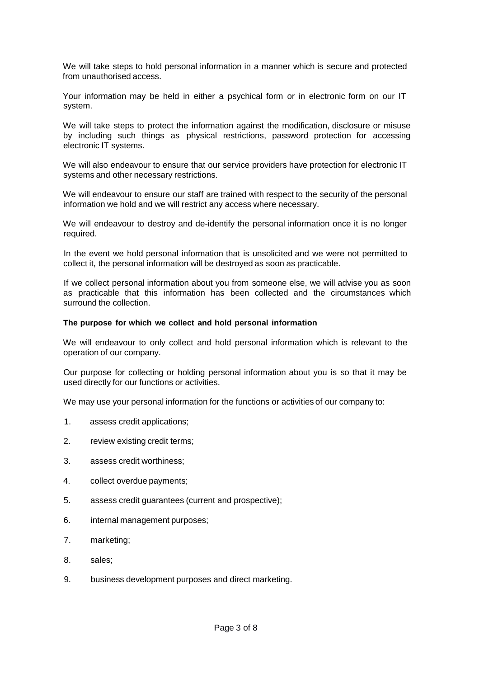We will take steps to hold personal information in a manner which is secure and protected from unauthorised access.

Your information may be held in either a psychical form or in electronic form on our IT system.

We will take steps to protect the information against the modification, disclosure or misuse by including such things as physical restrictions, password protection for accessing electronic IT systems.

We will also endeavour to ensure that our service providers have protection for electronic IT systems and other necessary restrictions.

We will endeavour to ensure our staff are trained with respect to the security of the personal information we hold and we will restrict any access where necessary.

We will endeavour to destroy and de-identify the personal information once it is no longer required.

In the event we hold personal information that is unsolicited and we were not permitted to collect it, the personal information will be destroyed as soon as practicable.

If we collect personal information about you from someone else, we will advise you as soon as practicable that this information has been collected and the circumstances which surround the collection.

#### **The purpose for which we collect and hold personal information**

We will endeavour to only collect and hold personal information which is relevant to the operation of our company.

Our purpose for collecting or holding personal information about you is so that it may be used directly for our functions or activities.

We may use your personal information for the functions or activities of our company to:

- 1. assess credit applications;
- 2. review existing credit terms;
- 3. assess credit worthiness;
- 4. collect overdue payments;
- 5. assess credit guarantees (current and prospective);
- 6. internal management purposes;
- 7. marketing;
- 8. sales;
- 9. business development purposes and direct marketing.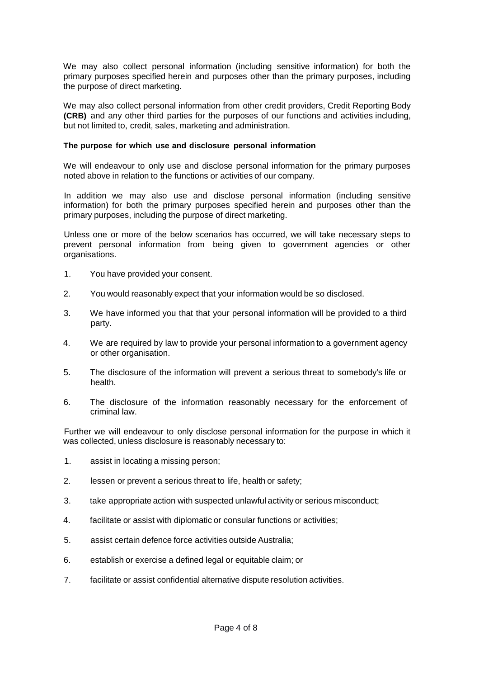We may also collect personal information (including sensitive information) for both the primary purposes specified herein and purposes other than the primary purposes, including the purpose of direct marketing.

We may also collect personal information from other credit providers, Credit Reporting Body **(CRB)** and any other third parties for the purposes of our functions and activities including, but not limited to, credit, sales, marketing and administration.

#### **The purpose for which use and disclosure personal information**

We will endeavour to only use and disclose personal information for the primary purposes noted above in relation to the functions or activities of our company.

In addition we may also use and disclose personal information (including sensitive information) for both the primary purposes specified herein and purposes other than the primary purposes, including the purpose of direct marketing.

Unless one or more of the below scenarios has occurred, we will take necessary steps to prevent personal information from being given to government agencies or other organisations.

- 1. You have provided your consent.
- 2. You would reasonably expect that your information would be so disclosed.
- 3. We have informed you that that your personal information will be provided to a third party.
- 4. We are required by law to provide your personal information to a government agency or other organisation.
- 5. The disclosure of the information will prevent a serious threat to somebody's life or health.
- 6. The disclosure of the information reasonably necessary for the enforcement of criminal law.

Further we will endeavour to only disclose personal information for the purpose in which it was collected, unless disclosure is reasonably necessary to:

- 1. assist in locating a missing person;
- 2. lessen or prevent a serious threat to life, health or safety;
- 3. take appropriate action with suspected unlawful activity or serious misconduct;
- 4. facilitate or assist with diplomatic or consular functions or activities;
- 5. assist certain defence force activities outside Australia;
- 6. establish or exercise a defined legal or equitable claim; or
- 7. facilitate or assist confidential alternative dispute resolution activities.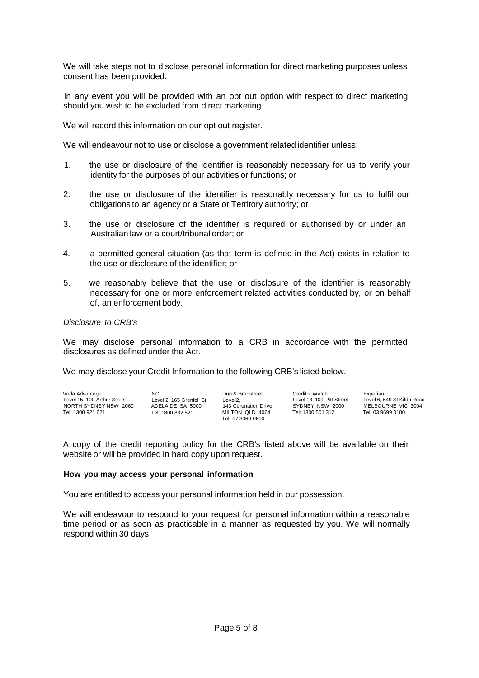We will take steps not to disclose personal information for direct marketing purposes unless consent has been provided.

In any event you will be provided with an opt out option with respect to direct marketing should you wish to be excluded from direct marketing.

We will record this information on our opt out register.

We will endeavour not to use or disclose a government related identifier unless:

- 1. the use or disclosure of the identifier is reasonably necessary for us to verify your identity for the purposes of our activities or functions; or
- 2. the use or disclosure of the identifier is reasonably necessary for us to fulfil our obligations to an agency or a State or Territory authority; or
- 3. the use or disclosure of the identifier is required or authorised by or under an Australian law or a court/tribunal order; or
- 4. a permitted general situation (as that term is defined in the Act) exists in relation to the use or disclosure of the identifier; or
- 5. we reasonably believe that the use or disclosure of the identifier is reasonably necessary for one or more enforcement related activities conducted by, or on behalf of, an enforcement body.

### *Disclosure to CRB's*

We may disclose personal information to a CRB in accordance with the permitted disclosures as defined under the Act.

We may disclose your Credit Information to the following CRB's listed below.

| Veda Advantage              | NCI.                     | Dun & Bradstreet                     | Creditor Watch            | Experian                   |
|-----------------------------|--------------------------|--------------------------------------|---------------------------|----------------------------|
|                             |                          |                                      |                           |                            |
| Level 15, 100 Arthur Street | Level 2, 165 Grenfell St | Level2.                              | Level 13, 109 Pitt Street | Level 6, 549 St Kilda Road |
| NORTH SYDNEY NSW 2060       | ADELAIDE SA 5000         | 143 Coronation Drive                 | SYDNEY NSW 2000           | MELBOURNE VIC 3004         |
| Tel: 1300 921 621           | Tel: 1800 882 820        | MILTON QLD 4064<br>Tel: 07 3360 0600 | Tel: 1300 501 312         | Tel: 03 9699 0100          |

A copy of the credit reporting policy for the CRB's listed above will be available on their website or will be provided in hard copy upon request.

#### **How you may access your personal information**

You are entitled to access your personal information held in our possession.

We will endeavour to respond to your request for personal information within a reasonable time period or as soon as practicable in a manner as requested by you. We will normally respond within 30 days.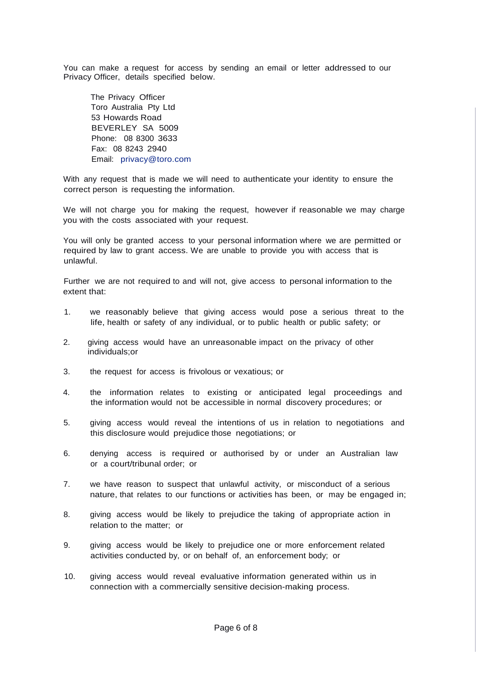You can make a request for access by sending an email or letter addressed to our Privacy Officer, details specified below.

The Privacy Officer Toro Australia Pty Ltd 53 Howards Road BEVERLEY SA 5009 Phone: 08 8300 3633 Fax: 08 8243 2940 Email: [privacy@toro.com](mailto:privacy@toro.com)

With any request that is made we will need to authenticate your identity to ensure the correct person is requesting the information.

We will not charge you for making the request, however if reasonable we may charge you with the costs associated with your request.

You will only be granted access to your personal information where we are permitted or required by law to grant access. We are unable to provide you with access that is unlawful.

Further we are not required to and will not, give access to personal information to the extent that:

- 1. we reasonably believe that giving access would pose a serious threat to the life, health or safety of any individual, or to public health or public safety; or
- 2. giving access would have an unreasonable impact on the privacy of other individuals;or
- 3. the request for access is frivolous or vexatious; or
- 4. the information relates to existing or anticipated legal proceedings and the information would not be accessible in normal discovery procedures; or
- 5. giving access would reveal the intentions of us in relation to negotiations and this disclosure would prejudice those negotiations; or
- 6. denying access is required or authorised by or under an Australian law or a court/tribunal order; or
- 7. we have reason to suspect that unlawful activity, or misconduct of a serious nature, that relates to our functions or activities has been, or may be engaged in;
- 8. giving access would be likely to prejudice the taking of appropriate action in relation to the matter; or
- 9. giving access would be likely to prejudice one or more enforcement related activities conducted by, or on behalf of, an enforcement body; or
- 10. giving access would reveal evaluative information generated within us in connection with a commercially sensitive decision-making process.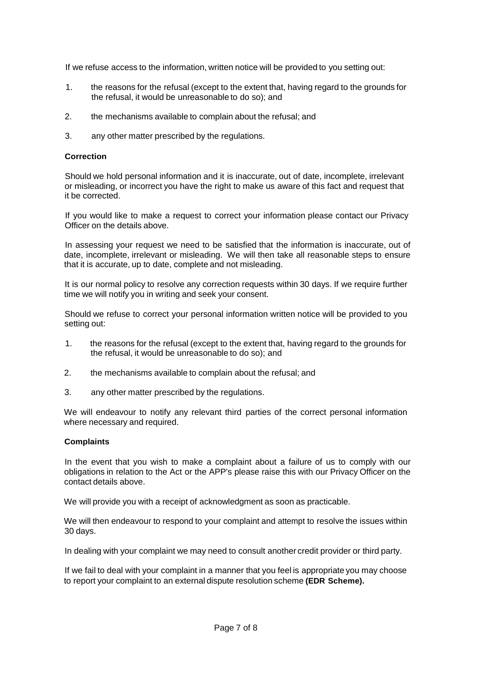If we refuse access to the information, written notice will be provided to you setting out:

- 1. the reasons for the refusal (except to the extent that, having regard to the grounds for the refusal, it would be unreasonable to do so); and
- 2. the mechanisms available to complain about the refusal; and
- 3. any other matter prescribed by the regulations.

### **Correction**

Should we hold personal information and it is inaccurate, out of date, incomplete, irrelevant or misleading, or incorrect you have the right to make us aware of this fact and request that it be corrected.

If you would like to make a request to correct your information please contact our Privacy Officer on the details above.

In assessing your request we need to be satisfied that the information is inaccurate, out of date, incomplete, irrelevant or misleading. We will then take all reasonable steps to ensure that it is accurate, up to date, complete and not misleading.

It is our normal policy to resolve any correction requests within 30 days. If we require further time we will notify you in writing and seek your consent.

Should we refuse to correct your personal information written notice will be provided to you setting out:

- 1. the reasons for the refusal (except to the extent that, having regard to the grounds for the refusal, it would be unreasonable to do so); and
- 2. the mechanisms available to complain about the refusal; and
- 3. any other matter prescribed by the regulations.

We will endeavour to notify any relevant third parties of the correct personal information where necessary and required.

### **Complaints**

In the event that you wish to make a complaint about a failure of us to comply with our obligations in relation to the Act or the APP's please raise this with our Privacy Officer on the contact details above.

We will provide you with a receipt of acknowledgment as soon as practicable.

We will then endeavour to respond to your complaint and attempt to resolve the issues within 30 days.

In dealing with your complaint we may need to consult another credit provider or third party.

If we fail to deal with your complaint in a manner that you feel is appropriate you may choose to report your complaint to an external dispute resolution scheme **(EDR Scheme).**